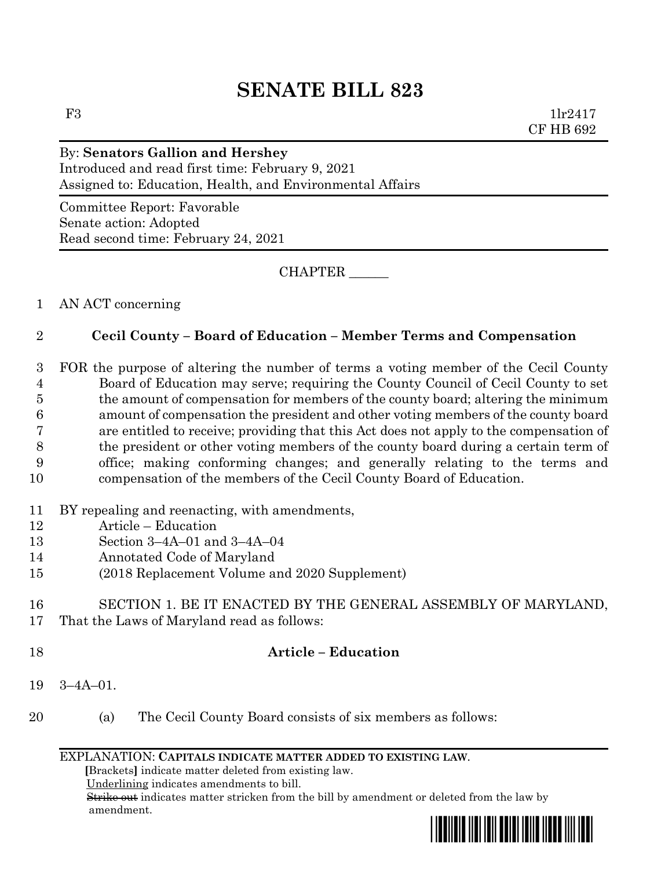# **SENATE BILL 823**

F3 1lr2417 CF HB 692

## By: **Senators Gallion and Hershey**

Introduced and read first time: February 9, 2021 Assigned to: Education, Health, and Environmental Affairs

Committee Report: Favorable Senate action: Adopted Read second time: February 24, 2021

CHAPTER \_\_\_\_\_\_

### 1 AN ACT concerning

### 2 **Cecil County – Board of Education – Member Terms and Compensation**

 FOR the purpose of altering the number of terms a voting member of the Cecil County Board of Education may serve; requiring the County Council of Cecil County to set the amount of compensation for members of the county board; altering the minimum amount of compensation the president and other voting members of the county board are entitled to receive; providing that this Act does not apply to the compensation of the president or other voting members of the county board during a certain term of office; making conforming changes; and generally relating to the terms and compensation of the members of the Cecil County Board of Education.

- 11 BY repealing and reenacting, with amendments,
- 12 Article Education
- 13 Section 3–4A–01 and 3–4A–04
- 14 Annotated Code of Maryland
- 15 (2018 Replacement Volume and 2020 Supplement)

#### 16 SECTION 1. BE IT ENACTED BY THE GENERAL ASSEMBLY OF MARYLAND, 17 That the Laws of Maryland read as follows:

#### 18 **Article – Education**

- 19 3–4A–01.
- 20 (a) The Cecil County Board consists of six members as follows:

#### EXPLANATION: **CAPITALS INDICATE MATTER ADDED TO EXISTING LAW**.

 **[**Brackets**]** indicate matter deleted from existing law.

Underlining indicates amendments to bill.

 Strike out indicates matter stricken from the bill by amendment or deleted from the law by amendment.

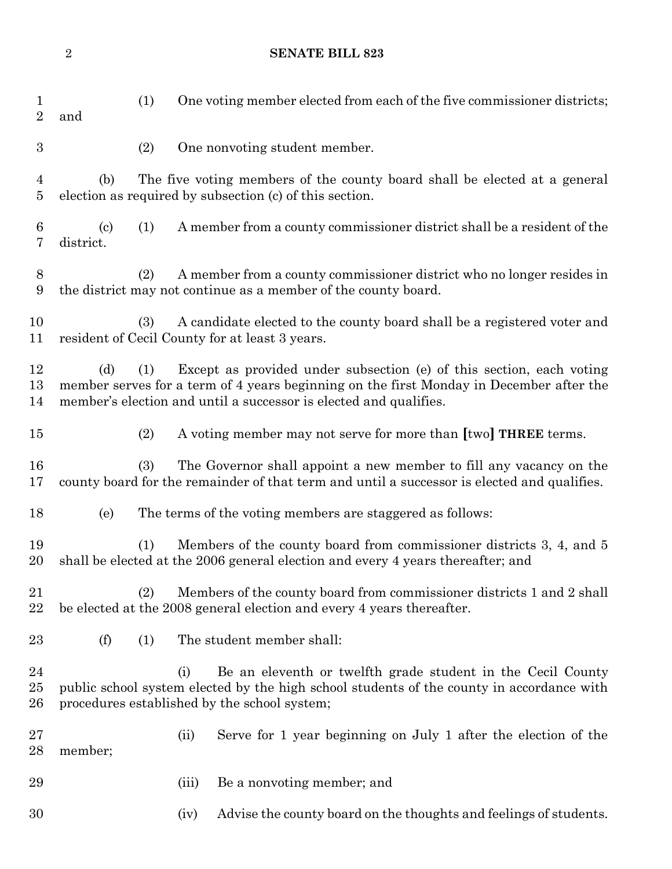### **SENATE BILL 823**

| $\mathbf 1$<br>$\overline{2}$ | (1)<br>and                                                                                                                                                                                                                                         |       | One voting member elected from each of the five commissioner districts;                                                                                           |
|-------------------------------|----------------------------------------------------------------------------------------------------------------------------------------------------------------------------------------------------------------------------------------------------|-------|-------------------------------------------------------------------------------------------------------------------------------------------------------------------|
| $\boldsymbol{3}$              | (2)                                                                                                                                                                                                                                                |       | One nonvoting student member.                                                                                                                                     |
| 4<br>$\overline{5}$           | (b)                                                                                                                                                                                                                                                |       | The five voting members of the county board shall be elected at a general<br>election as required by subsection (c) of this section.                              |
| 6<br>7                        | $\left( \mathrm{c}\right)$<br>(1)<br>district.                                                                                                                                                                                                     |       | A member from a county commissioner district shall be a resident of the                                                                                           |
| 8<br>9                        | (2)                                                                                                                                                                                                                                                |       | A member from a county commissioner district who no longer resides in<br>the district may not continue as a member of the county board.                           |
| 10<br>11                      | (3)<br>resident of Cecil County for at least 3 years.                                                                                                                                                                                              |       | A candidate elected to the county board shall be a registered voter and                                                                                           |
| 12<br>13<br>14                | Except as provided under subsection (e) of this section, each voting<br>(d)<br>(1)<br>member serves for a term of 4 years beginning on the first Monday in December after the<br>member's election and until a successor is elected and qualifies. |       |                                                                                                                                                                   |
| 15                            | (2)                                                                                                                                                                                                                                                |       | A voting member may not serve for more than [two] <b>THREE</b> terms.                                                                                             |
| 16<br>17                      | (3)                                                                                                                                                                                                                                                |       | The Governor shall appoint a new member to fill any vacancy on the<br>county board for the remainder of that term and until a successor is elected and qualifies. |
| 18                            | (e)                                                                                                                                                                                                                                                |       | The terms of the voting members are staggered as follows:                                                                                                         |
| 19<br>20                      | Members of the county board from commissioner districts 3, 4, and 5<br>(1)<br>shall be elected at the 2006 general election and every 4 years thereafter; and                                                                                      |       |                                                                                                                                                                   |
| $^{21}$<br>22                 | Members of the county board from commissioner districts 1 and 2 shall<br>(2)<br>be elected at the 2008 general election and every 4 years thereafter.                                                                                              |       |                                                                                                                                                                   |
| $23\,$                        | (f)<br>(1)                                                                                                                                                                                                                                         |       | The student member shall:                                                                                                                                         |
| 24<br>$25\,$<br>26            | procedures established by the school system;                                                                                                                                                                                                       | (i)   | Be an eleventh or twelfth grade student in the Cecil County<br>public school system elected by the high school students of the county in accordance with          |
| $27\,$<br>28                  | member;                                                                                                                                                                                                                                            | (ii)  | Serve for 1 year beginning on July 1 after the election of the                                                                                                    |
| 29                            |                                                                                                                                                                                                                                                    | (iii) | Be a nonvoting member; and                                                                                                                                        |
| 30                            |                                                                                                                                                                                                                                                    | (iv)  | Advise the county board on the thoughts and feelings of students.                                                                                                 |